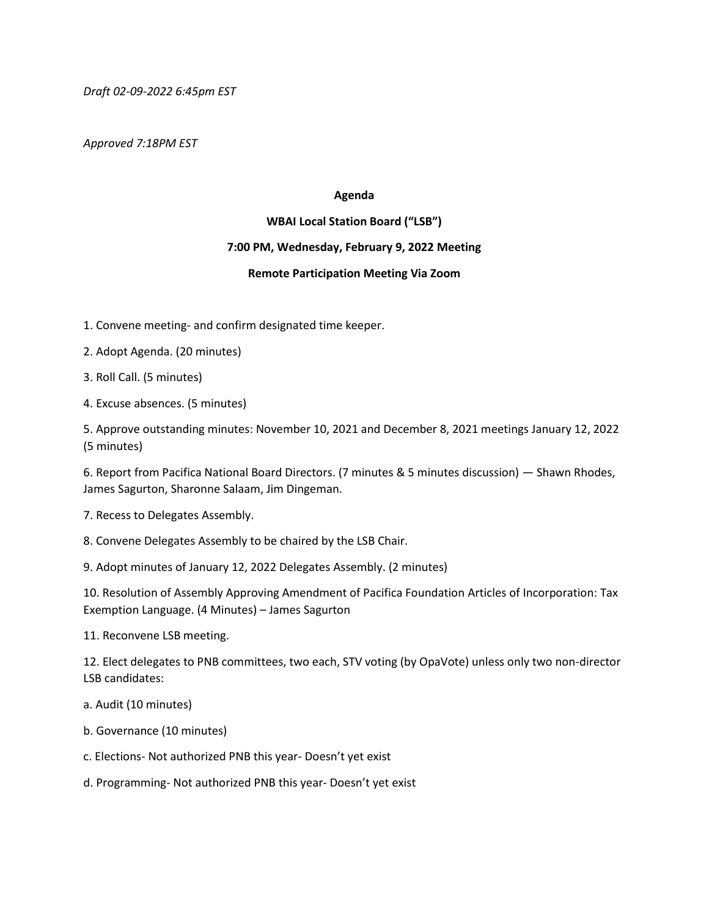*Draft 02-09-2022 6:45pm EST*

*Approved 7:18PM EST*

## **Agenda**

## **WBAI Local Station Board ("LSB")**

## **7:00 PM, Wednesday, February 9, 2022 Meeting**

## **Remote Participation Meeting Via Zoom**

1. Convene meeting- and confirm designated time keeper.

2. Adopt Agenda. (20 minutes)

3. Roll Call. (5 minutes)

4. Excuse absences. (5 minutes)

5. Approve outstanding minutes: November 10, 2021 and December 8, 2021 meetings January 12, 2022 (5 minutes)

6. Report from Pacifica National Board Directors. (7 minutes & 5 minutes discussion) — Shawn Rhodes, James Sagurton, Sharonne Salaam, Jim Dingeman.

7. Recess to Delegates Assembly.

8. Convene Delegates Assembly to be chaired by the LSB Chair.

9. Adopt minutes of January 12, 2022 Delegates Assembly. (2 minutes)

10. Resolution of Assembly Approving Amendment of Pacifica Foundation Articles of Incorporation: Tax Exemption Language. (4 Minutes) – James Sagurton

11. Reconvene LSB meeting.

12. Elect delegates to PNB committees, two each, STV voting (by OpaVote) unless only two non-director LSB candidates:

- a. Audit (10 minutes)
- b. Governance (10 minutes)
- c. Elections- Not authorized PNB this year- Doesn't yet exist
- d. Programming- Not authorized PNB this year- Doesn't yet exist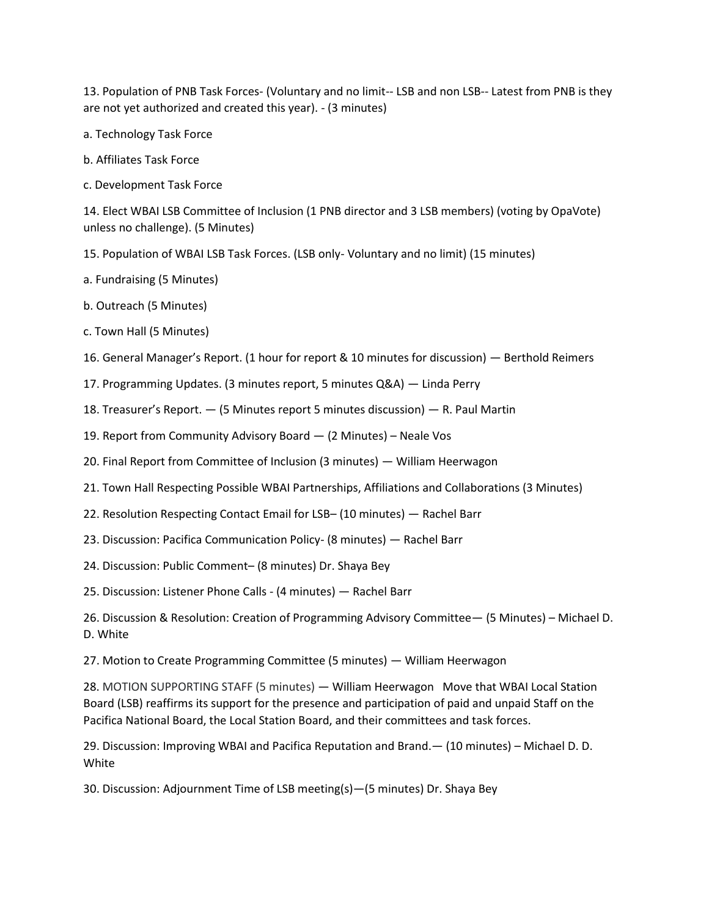13. Population of PNB Task Forces- (Voluntary and no limit-- LSB and non LSB-- Latest from PNB is they are not yet authorized and created this year). - (3 minutes)

- a. Technology Task Force
- b. Affiliates Task Force
- c. Development Task Force

14. Elect WBAI LSB Committee of Inclusion (1 PNB director and 3 LSB members) (voting by OpaVote) unless no challenge). (5 Minutes)

- 15. Population of WBAI LSB Task Forces. (LSB only- Voluntary and no limit) (15 minutes)
- a. Fundraising (5 Minutes)
- b. Outreach (5 Minutes)
- c. Town Hall (5 Minutes)
- 16. General Manager's Report. (1 hour for report & 10 minutes for discussion) Berthold Reimers
- 17. Programming Updates. (3 minutes report, 5 minutes Q&A) Linda Perry
- 18. Treasurer's Report. (5 Minutes report 5 minutes discussion) R. Paul Martin
- 19. Report from Community Advisory Board (2 Minutes) Neale Vos
- 20. Final Report from Committee of Inclusion (3 minutes) William Heerwagon
- 21. Town Hall Respecting Possible WBAI Partnerships, Affiliations and Collaborations (3 Minutes)
- 22. Resolution Respecting Contact Email for LSB– (10 minutes) Rachel Barr
- 23. Discussion: Pacifica Communication Policy- (8 minutes) Rachel Barr
- 24. Discussion: Public Comment– (8 minutes) Dr. Shaya Bey

25. Discussion: Listener Phone Calls - (4 minutes) — Rachel Barr

26. Discussion & Resolution: Creation of Programming Advisory Committee— (5 Minutes) – Michael D. D. White

27. Motion to Create Programming Committee (5 minutes) — William Heerwagon

28. MOTION SUPPORTING STAFF (5 minutes) — William Heerwagon Move that WBAI Local Station Board (LSB) reaffirms its support for the presence and participation of paid and unpaid Staff on the Pacifica National Board, the Local Station Board, and their committees and task forces.

29. Discussion: Improving WBAI and Pacifica Reputation and Brand.— (10 minutes) – Michael D. D. White

30. Discussion: Adjournment Time of LSB meeting(s)—(5 minutes) Dr. Shaya Bey